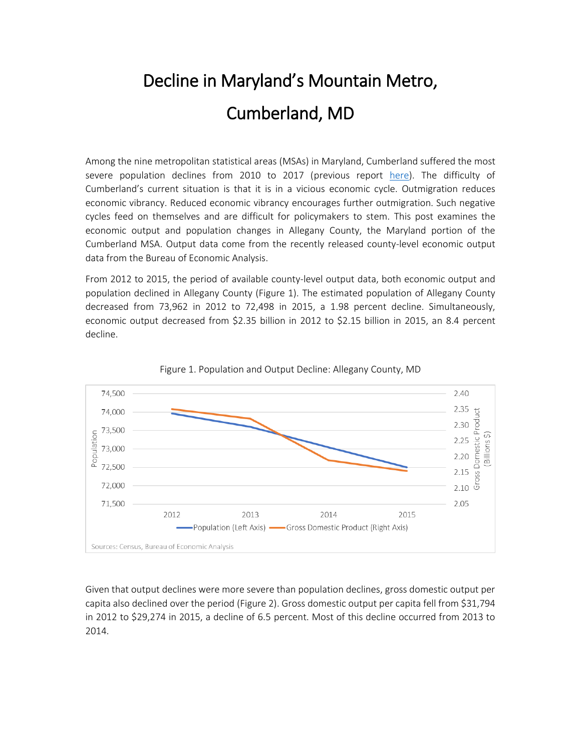## Decline in Maryland's Mountain Metro, Cumberland, MD

Among the nine metropolitan statistical areas (MSAs) in Maryland, Cumberland suffered the most severe population declines from 2010 to 2017 (previous report [here\)](https://mdmetromonitor.files.wordpress.com/2019/02/msapopulationdeclines.pdf). The difficulty of Cumberland's current situation is that it is in a vicious economic cycle. Outmigration reduces economic vibrancy. Reduced economic vibrancy encourages further outmigration. Such negative cycles feed on themselves and are difficult for policymakers to stem. This post examines the economic output and population changes in Allegany County, the Maryland portion of the Cumberland MSA. Output data come from the recently released county-level economic output data from the Bureau of Economic Analysis.

From 2012 to 2015, the period of available county-level output data, both economic output and population declined in Allegany County (Figure 1). The estimated population of Allegany County decreased from 73,962 in 2012 to 72,498 in 2015, a 1.98 percent decline. Simultaneously, economic output decreased from \$2.35 billion in 2012 to \$2.15 billion in 2015, an 8.4 percent decline.





Given that output declines were more severe than population declines, gross domestic output per capita also declined over the period (Figure 2). Gross domestic output per capita fell from \$31,794 in 2012 to \$29,274 in 2015, a decline of 6.5 percent. Most of this decline occurred from 2013 to 2014.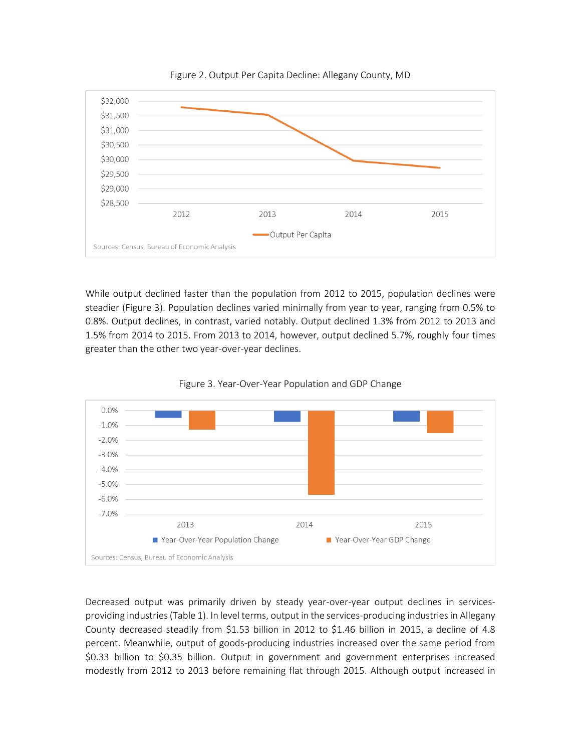



While output declined faster than the population from 2012 to 2015, population declines were steadier (Figure 3). Population declines varied minimally from year to year, ranging from 0.5% to 0.8%. Output declines, in contrast, varied notably. Output declined 1.3% from 2012 to 2013 and 1.5% from 2014 to 2015. From 2013 to 2014, however, output declined 5.7%, roughly four times greater than the other two year-over-year declines.





Decreased output was primarily driven by steady year-over-year output declines in servicesproviding industries (Table 1). In level terms, output in the services-producing industries in Allegany County decreased steadily from \$1.53 billion in 2012 to \$1.46 billion in 2015, a decline of 4.8 percent. Meanwhile, output of goods-producing industries increased over the same period from \$0.33 billion to \$0.35 billion. Output in government and government enterprises increased modestly from 2012 to 2013 before remaining flat through 2015. Although output increased in